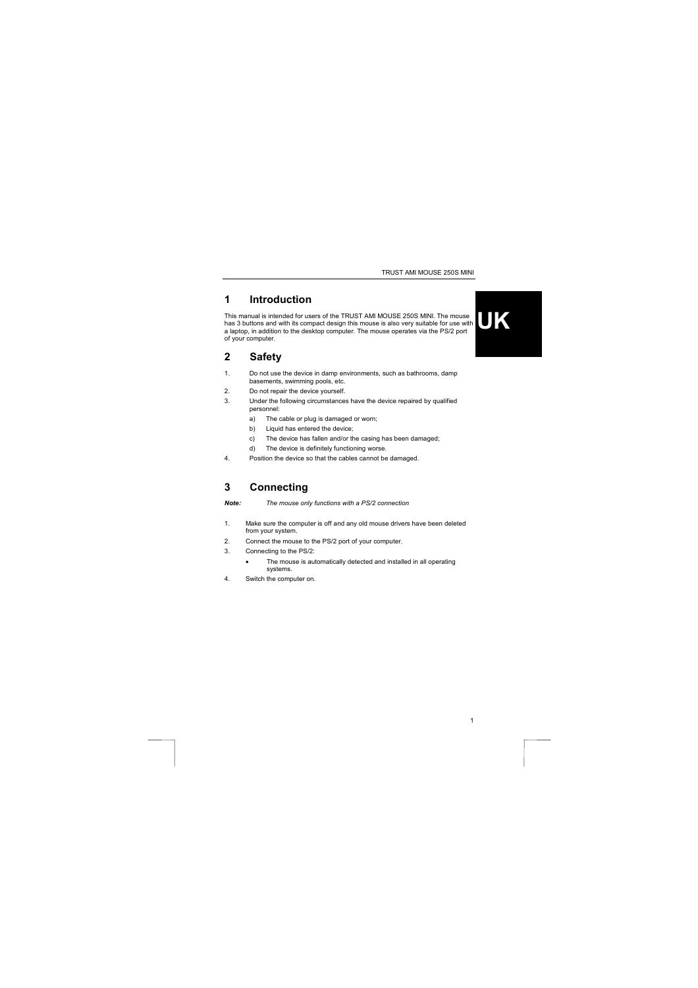TRUST AMI MOUSE 250S MINI

# **1 Introduction**

This manual is intended for users of the TRUST AMI MOUSE 250S MINI. The mouse<br>has 3 buttons and with its compact design this mouse is also very suitable for use with<br>a laptop, in addition to the desktop computer. The mouse



1

## **2 Safety**

- 1. Do not use the device in damp environments, such as bathrooms, damp basements, swimming pools, etc.
- 2. Do not repair the device yourself.
- 3. Under the following circumstances have the device repaired by qualified personnel:
	- a) The cable or plug is damaged or worn;
	- b) Liquid has entered the device;
	- c) The device has fallen and/or the casing has been damaged;
	- d) The device is definitely functioning worse.
- 4. Position the device so that the cables cannot be damaged.

#### **3 Connecting**

*Note: The mouse only functions with a PS/2 connection* 

- 1. Make sure the computer is off and any old mouse drivers have been deleted from your system.
- 2. Connect the mouse to the PS/2 port of your computer.
- 3. Connecting to the PS/2:
	- The mouse is automatically detected and installed in all operating systems.
- 4. Switch the computer on.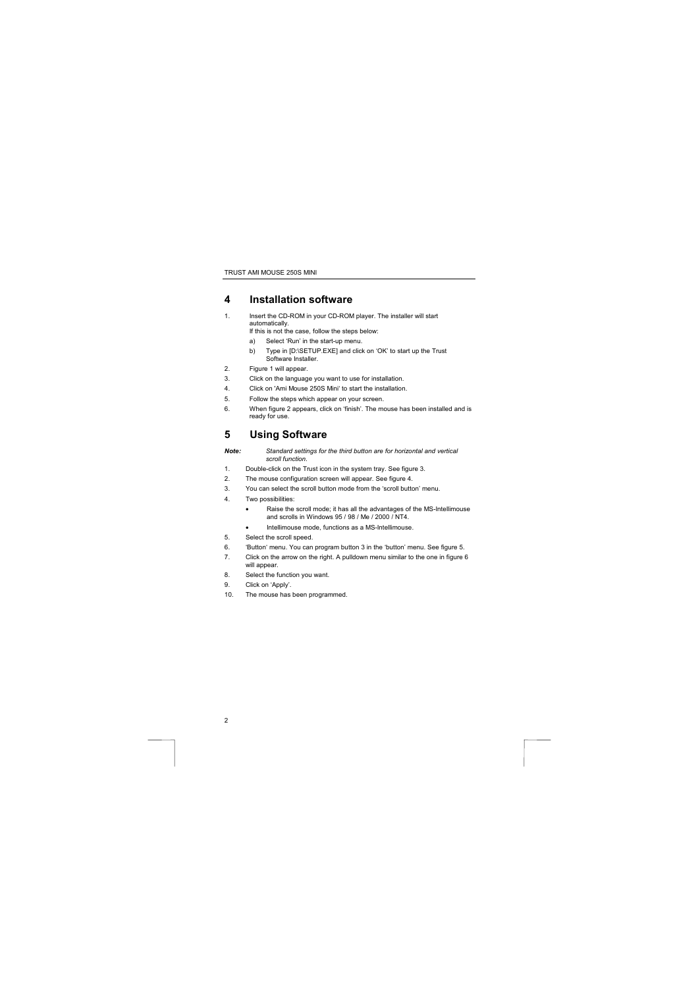TRUST AMI MOUSE 250S MINI

## **4 Installation software**

- 1. Insert the CD-ROM in your CD-ROM player. The installer will start automatically. If this is not the case, follow the steps below:
	- a) Select 'Run' in the start-up menu.
	- b) Type in [D:\SETUP.EXE] and click on 'OK' to start up the Trust Software Installer.
- 2. Figure 1 will appear.<br>3. Click on the language
- Click on the language you want to use for installation.
- 4. Click on 'Ami Mouse 250S Mini' to start the installation.
- 5. Follow the steps which appear on your screen.<br>6. When figure 2 appears, click on 'finish'. The mo
- 6. When figure 2 appears, click on 'finish'. The mouse has been installed and is ready for use.

# **5 Using Software**

- *Note: Standard settings for the third button are for horizontal and vertical scroll function.* 
	-
- 1. Double-click on the Trust icon in the system tray. See figure 3. 2. The mouse configuration screen will appear. See figure 4.
- 3. You can select the scroll button mode from the 'scroll button' menu.
- 4. Two possibilities:
	- Raise the scroll mode; it has all the advantages of the MS-Intellimouse and scrolls in Windows 95 / 98 / Me / 2000 / NT4.
		- Intellimouse mode, functions as a MS-Intellimouse.
- 5. Select the scroll speed.
- 6. 'Button' menu. You can program button 3 in the 'button' menu. See figure 5.
- 7. Click on the arrow on the right. A pulldown menu similar to the one in figure 6
- will appear. 8. Select the function you want.
- 9. Click on 'Apply'.

2

10. The mouse has been programmed.